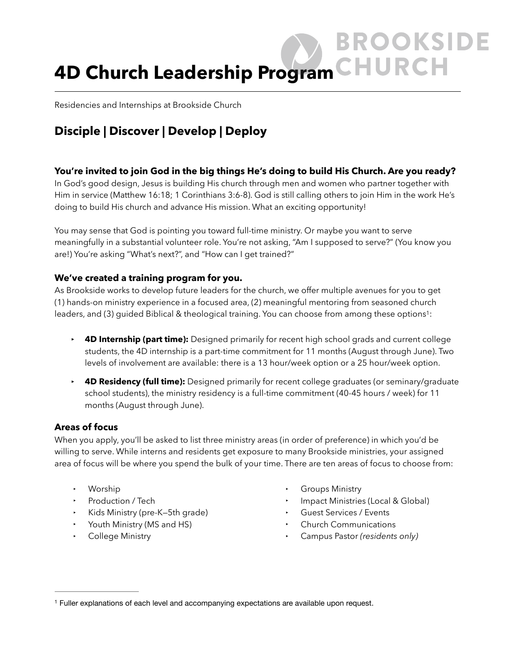# **BROOKSIDE 4D Church Leadership Program**

Residencies and Internships at Brookside Church

## **Disciple | Discover | Develop | Deploy**

### **You're invited to join God in the big things He's doing to build His Church. Are you ready?**

In God's good design, Jesus is building His church through men and women who partner together with Him in service (Matthew 16:18; 1 Corinthians 3:6-8). God is still calling others to join Him in the work He's doing to build His church and advance His mission. What an exciting opportunity!

You may sense that God is pointing you toward full-time ministry. Or maybe you want to serve meaningfully in a substantial volunteer role. You're not asking, "Am I supposed to serve?" (You know you are!) You're asking "What's next?", and "How can I get trained?"

#### **We've created a training program for you.**

As Brookside works to develop future leaders for the church, we offer multiple avenues for you to get (1) hands-on ministry experience in a focused area, (2) meaningful mentoring from seasoned church leaders, and (3) guided Biblical & theological training. You can choose from among these options<sup>1</sup>:

- **<sup>•</sup> 4D Internship (part time):** Designed primarily for recent high school grads and current college students, the 4D internship is a part-time commitment for 11 months (August through June). Two levels of involvement are available: there is a 13 hour/week option or a 25 hour/week option.
- **‣ 4D Residency (full time):** Designed primarily for recent college graduates (or seminary/graduate school students), the ministry residency is a full-time commitment (40-45 hours / week) for 11 months (August through June).

#### **Areas of focus**

When you apply, you'll be asked to list three ministry areas (in order of preference) in which you'd be willing to serve. While interns and residents get exposure to many Brookside ministries, your assigned area of focus will be where you spend the bulk of your time. There are ten areas of focus to choose from:

- ‣ Worship
- Production / Tech
- ‣ Kids Ministry (pre-K—5th grade)
- Youth Ministry (MS and HS)
- College Ministry
- <span id="page-0-1"></span>**Groups Ministry**
- ‣ Impact Ministries (Local & Global)
- ‣ Guest Services / Events
- ‣ Church Communications
- ‣ Campus Pastor *(residents only)*

<span id="page-0-0"></span><sup>&</sup>lt;sup>[1](#page-0-1)</sup> Fuller explanations of each level and accompanying expectations are available upon request.